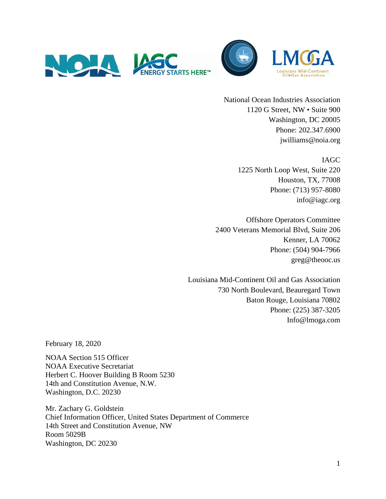



National Ocean Industries Association 1120 G Street, NW • Suite 900 Washington, DC 20005 Phone: 202.347.6900 jwilliams@noia.org

# IAGC

1225 North Loop West, Suite 220 Houston, TX, 77008 Phone: (713) 957-8080 info@iagc.org

Offshore Operators Committee 2400 Veterans Memorial Blvd, Suite 206 Kenner, LA 70062 Phone: (504) 904-7966 greg@theooc.us

Louisiana Mid-Continent Oil and Gas Association 730 North Boulevard, Beauregard Town Baton Rouge, Louisiana 70802 Phone: (225) 387-3205 Info@lmoga.com

February 18, 2020

NOAA Section 515 Officer NOAA Executive Secretariat Herbert C. Hoover Building B Room 5230 14th and Constitution Avenue, N.W. Washington, D.C. 20230

Mr. Zachary G. Goldstein Chief Information Officer, United States Department of Commerce 14th Street and Constitution Avenue, NW Room 5029B Washington, DC 20230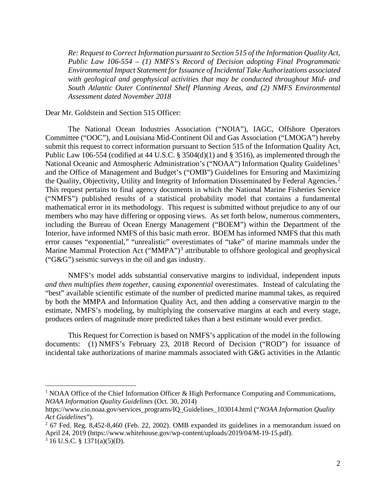*Re: Request to Correct Information pursuant to Section 515 of the Information Quality Act, Public Law 106-554 – (1) NMFS's Record of Decision adopting Final Programmatic Environmental Impact Statement for Issuance of Incidental Take Authorizations associated with geological and geophysical activities that may be conducted throughout Mid- and South Atlantic Outer Continental Shelf Planning Areas, and (2) NMFS Environmental Assessment dated November 2018*

Dear Mr. Goldstein and Section 515 Officer:

The National Ocean Industries Association ("NOIA"), IAGC, Offshore Operators Committee ("OOC"), and Louisiana Mid-Continent Oil and Gas Association ("LMOGA") hereby submit this request to correct information pursuant to Section 515 of the Information Quality Act, Public Law 106-554 (codified at 44 U.S.C. § 3504(d)(1) and § 3516), as implemented through the National Oceanic and Atmospheric Administration's ("NOAA") Information Quality Guidelines<sup>[1](#page-1-0)</sup> and the Office of Management and Budget's ("OMB") Guidelines for Ensuring and Maximizing the Quality, Objectivity, Utility and Integrity of Information Disseminated by Federal Agencies.<sup>[2](#page-1-1)</sup> This request pertains to final agency documents in which the National Marine Fisheries Service ("NMFS") published results of a statistical probability model that contains a fundamental mathematical error in its methodology. This request is submitted without prejudice to any of our members who may have differing or opposing views. As set forth below, numerous commenters, including the Bureau of Ocean Energy Management ("BOEM") within the Department of the Interior, have informed NMFS of this basic math error. BOEM has informed NMFS that this math error causes "exponential," "unrealistic" overestimates of "take" of marine mammals under the Marine Mammal Protection Act ("MMPA")<sup>[3](#page-1-2)</sup> attributable to offshore geological and geophysical ("G&G") seismic surveys in the oil and gas industry.

NMFS's model adds substantial conservative margins to individual, independent inputs *and then multiplies them together*, causing *exponential* overestimates. Instead of calculating the "best" available scientific estimate of the number of predicted marine mammal takes, as required by both the MMPA and Information Quality Act, and then adding a conservative margin to the estimate, NMFS's modeling, by multiplying the conservative margins at each and every stage, produces orders of magnitude more predicted takes than a best estimate would ever predict.

This Request for Correction is based on NMFS's application of the model in the following documents: (1) NMFS's February 23, 2018 Record of Decision ("ROD") for issuance of incidental take authorizations of marine mammals associated with G&G activities in the Atlantic

<span id="page-1-0"></span><sup>&</sup>lt;sup>1</sup> NOAA Office of the Chief Information Officer & High Performance Computing and Communications, *NOAA Information Quality Guidelines* (Oct. 30, 2014)

https://www.cio.noaa.gov/services\_programs/IQ\_Guidelines\_103014.html ("*NOAA Information Quality Act Guidelines*").

<span id="page-1-2"></span><span id="page-1-1"></span><sup>2</sup> 67 Fed. Reg. 8,452-8,460 (Feb. 22, 2002). OMB expanded its guidelines in a memorandum issued on April 24, 2019 (https://www.whitehouse.gov/wp-content/uploads/2019/04/M-19-15.pdf).  $3 \text{ 16 U.S.C. } $ \frac{1371(a)(5)(D)}{2}$ .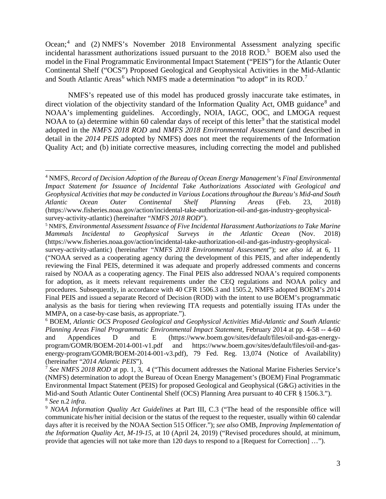Ocean;<sup>[4](#page-2-0)</sup> and (2) NMFS's November 2018 Environmental Assessment analyzing specific incidental harassment authorizations issued pursuant to the 2018 ROD.<sup>[5](#page-2-1)</sup> BOEM also used the model in the Final Programmatic Environmental Impact Statement ("PEIS") for the Atlantic Outer Continental Shelf ("OCS") Proposed Geological and Geophysical Activities in the Mid-Atlantic and South Atlantic Areas<sup>[6](#page-2-2)</sup> which NMFS made a determination "to adopt" in its ROD.<sup>[7](#page-2-3)</sup>

NMFS's repeated use of this model has produced grossly inaccurate take estimates, in direct violation of the objectivity standard of the Information Quality Act, OMB guidance<sup>[8](#page-2-4)</sup> and NOAA's implementing guidelines. Accordingly, NOIA, IAGC, OOC, and LMOGA request NOAA to (a) determine within 60 calendar days of receipt of this letter<sup>[9](#page-2-5)</sup> that the statistical model adopted in the *NMFS 2018 ROD* and *NMFS 2018 Environmental Assessment* (and described in detail in the *2014 PEIS* adopted by NMFS) does not meet the requirements of the Information Quality Act; and (b) initiate corrective measures, including correcting the model and published

<span id="page-2-1"></span><sup>5</sup> NMFS, *Environmental Assessment Issuance of Five Incidental Harassment Authorizations to Take Marine Mammals Incidental to Geophysical Surveys in the Atlantic Ocean* (Nov. 2018) (https://www.fisheries.noaa.gov/action/incidental-take-authorization-oil-and-gas-industry-geophysical-

<span id="page-2-0"></span><sup>4</sup> NMFS, *Record of Decision Adoption of the Bureau of Ocean Energy Management's Final Environmental Impact Statement for Issuance of Incidental Take Authorizations Associated with Geological and Geophysical Activities that may be conducted in Various Locations throughout the Bureau's Mid-and South Atlantic Ocean Outer Continental Shelf Planning Areas* (Feb. 23, 2018) (https://www.fisheries.noaa.gov/action/incidental-take-authorization-oil-and-gas-industry-geophysicalsurvey-activity-atlantic) (hereinafter "*NMFS 2018 ROD*").

survey-activity-atlantic) (hereinafter "*NMFS 2018 Environmental Assessment*"); *see also id.* at 6, 11 ("NOAA served as a cooperating agency during the development of this PEIS, and after independently reviewing the Final PEIS, determined it was adequate and properly addressed comments and concerns raised by NOAA as a cooperating agency. The Final PEIS also addressed NOAA's required components for adoption, as it meets relevant requirements under the CEQ regulations and NOAA policy and procedures. Subsequently, in accordance with 40 CFR 1506.3 and 1505.2, NMFS adopted BOEM's 2014 Final PEIS and issued a separate Record of Decision (ROD) with the intent to use BOEM's programmatic analysis as the basis for tiering when reviewing ITA requests and potentially issuing ITAs under the MMPA, on a case-by-case basis, as appropriate.").

<span id="page-2-2"></span><sup>6</sup> BOEM, *Atlantic OCS Proposed Geological and Geophysical Activities Mid-Atlantic and South Atlantic Planning Areas Final Programmatic Environmental Impact Statement*, February 2014 at pp. 4-58 -- 4-60 and Appendices D and E (https://www.boem.gov/sites/default/files/oil-and-gas-energyprogram/GOMR/BOEM-2014-001-v1.pdf and https://www.boem.gov/sites/default/files/oil-and-gasenergy-program/GOMR/BOEM-2014-001-v3.pdf), 79 Fed. Reg. 13,074 (Notice of Availability) (hereinafter "*2014 Atlantic PEIS*").

<span id="page-2-3"></span><sup>7</sup> *See NMFS 2018 ROD* at pp. 1, 3, 4 ("This document addresses the National Marine Fisheries Service's (NMFS) determination to adopt the Bureau of Ocean Energy Management's (BOEM) Final Programmatic Environmental Impact Statement (PEIS) for proposed Geological and Geophysical (G&G) activities in the Mid-and South Atlantic Outer Continental Shelf (OCS) Planning Area pursuant to 40 CFR § 1506.3."). <sup>8</sup> *See* n.2 *infra*.

<span id="page-2-5"></span><span id="page-2-4"></span><sup>9</sup> *NOAA Information Quality Act Guidelines* at Part III, C.3 ("The head of the responsible office will communicate his/her initial decision or the status of the request to the requester, usually within 60 calendar days after it is received by the NOAA Section 515 Officer."); *see also* OMB, *Improving Implementation of the Information Quality Act, M-19-15*, at 10 (April 24, 2019) ("Revised procedures should, at minimum, provide that agencies will not take more than 120 days to respond to a [Request for Correction] …").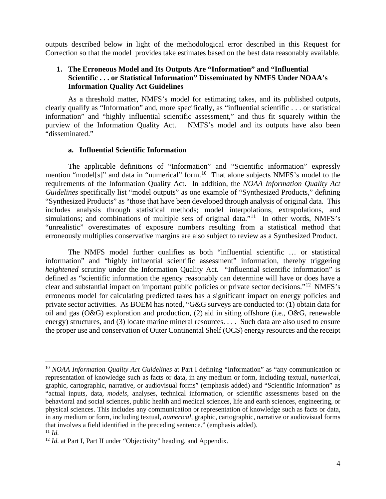outputs described below in light of the methodological error described in this Request for Correction so that the model provides take estimates based on the best data reasonably available.

# **1. The Erroneous Model and Its Outputs Are "Information" and "Influential Scientific . . . or Statistical Information" Disseminated by NMFS Under NOAA's Information Quality Act Guidelines**

As a threshold matter, NMFS's model for estimating takes, and its published outputs, clearly qualify as "Information" and, more specifically, as "influential scientific . . . or statistical information" and "highly influential scientific assessment," and thus fit squarely within the purview of the Information Quality Act. NMFS's model and its outputs have also been "disseminated."

## **a. Influential Scientific Information**

The applicable definitions of "Information" and "Scientific information" expressly mention "model[s]" and data in "numerical" form.<sup>10</sup> That alone subjects NMFS's model to the requirements of the Information Quality Act. In addition, the *NOAA Information Quality Act Guidelines* specifically list "model outputs" as one example of "Synthesized Products," defining "Synthesized Products" as "those that have been developed through analysis of original data. This includes analysis through statistical methods; model interpolations, extrapolations, and simulations; and combinations of multiple sets of original data."<sup>[11](#page-3-1)</sup> In other words, NMFS's "unrealistic" overestimates of exposure numbers resulting from a statistical method that erroneously multiplies conservative margins are also subject to review as a Synthesized Product.

The NMFS model further qualifies as both "influential scientific … or statistical information" and "highly influential scientific assessment" information, thereby triggering *heightened* scrutiny under the Information Quality Act. "Influential scientific information" is defined as "scientific information the agency reasonably can determine will have or does have a clear and substantial impact on important public policies or private sector decisions."[12](#page-3-2) NMFS's erroneous model for calculating predicted takes has a significant impact on energy policies and private sector activities. As BOEM has noted, "G&G surveys are conducted to: (1) obtain data for oil and gas (O&G) exploration and production, (2) aid in siting offshore (i.e., O&G, renewable energy) structures, and (3) locate marine mineral resources. . . . Such data are also used to ensure the proper use and conservation of Outer Continental Shelf (OCS) energy resources and the receipt

<span id="page-3-0"></span><sup>10</sup> *NOAA Information Quality Act Guidelines* at Part I defining "Information" as "any communication or representation of knowledge such as facts or data, in any medium or form, including textual, *numerical*, graphic, cartographic, narrative, or audiovisual forms" (emphasis added) and "Scientific Information" as "actual inputs, data, *models*, analyses, technical information, or scientific assessments based on the behavioral and social sciences, public health and medical sciences, life and earth sciences, engineering, or physical sciences. This includes any communication or representation of knowledge such as facts or data, in any medium or form, including textual, *numerical*, graphic, cartographic, narrative or audiovisual forms that involves a field identified in the preceding sentence." (emphasis added).  $11$  *Id.* 

<span id="page-3-2"></span><span id="page-3-1"></span><sup>&</sup>lt;sup>12</sup> *Id.* at Part I, Part II under "Objectivity" heading, and Appendix.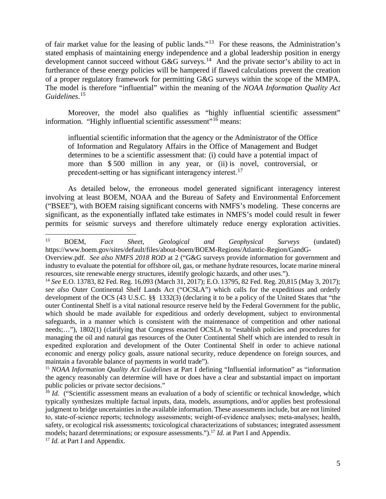of fair market value for the leasing of public lands."[13](#page-4-0) For these reasons, the Administration's stated emphasis of maintaining energy independence and a global leadership position in energy development cannot succeed without G&G surveys.<sup>[14](#page-4-1)</sup> And the private sector's ability to act in furtherance of these energy policies will be hampered if flawed calculations prevent the creation of a proper regulatory framework for permitting G&G surveys within the scope of the MMPA. The model is therefore "influential" within the meaning of the *NOAA Information Quality Act Guidelines*. [15](#page-4-2)

Moreover, the model also qualifies as "highly influential scientific assessment" information. "Highly influential scientific assessment"<sup>[16](#page-4-3)</sup> means:

influential scientific information that the agency or the Administrator of the Office of Information and Regulatory Affairs in the Office of Management and Budget determines to be a scientific assessment that: (i) could have a potential impact of more than \$ 500 million in any year, or (ii) is novel, controversial, or precedent-setting or has significant interagency interest.<sup>[17](#page-4-4)</sup>

As detailed below, the erroneous model generated significant interagency interest involving at least BOEM, NOAA and the Bureau of Safety and Environmental Enforcement ("BSEE"), with BOEM raising significant concerns with NMFS's modeling. These concerns are significant, as the exponentially inflated take estimates in NMFS's model could result in fewer permits for seismic surveys and therefore ultimately reduce energy exploration activities.

<span id="page-4-0"></span><sup>13</sup> BOEM, *Fact Sheet, Geological and Geophysical Surveys* (undated) https://www.boem.gov/sites/default/files/about-boem/BOEM-Regions/Atlantic-Region/GandG-

Overview.pdf. *See also NMFS 2018 ROD* at 2 ("G&G surveys provide information for government and industry to evaluate the potential for offshore oil, gas, or methane hydrate resources, locate marine mineral resources, site renewable energy structures, identify geologic hazards, and other uses.").

<span id="page-4-1"></span><sup>14</sup> *See* E.O. 13783, 82 Fed. Reg. 16,093 (March 31, 2017); E.O. 13795, 82 Fed. Reg. 20,815 (May 3, 2017); *see also* Outer Continental Shelf Lands Act ("OCSLA") which calls for the expeditious and orderly development of the OCS (43 U.S.C. §§ 1332(3) (declaring it to be a policy of the United States that "the outer Continental Shelf is a vital national resource reserve held by the Federal Government for the public, which should be made available for expeditious and orderly development, subject to environmental safeguards, in a manner which is consistent with the maintenance of competition and other national needs;…"), 1802(1) (clarifying that Congress enacted OCSLA to "establish policies and procedures for managing the oil and natural gas resources of the Outer Continental Shelf which are intended to result in expedited exploration and development of the Outer Continental Shelf in order to achieve national economic and energy policy goals, assure national security, reduce dependence on foreign sources, and maintain a favorable balance of payments in world trade").

<span id="page-4-2"></span><sup>15</sup> *NOAA Information Quality Act Guidelines* at Part I defining "Influential information" as "information the agency reasonably can determine will have or does have a clear and substantial impact on important public policies or private sector decisions."

<span id="page-4-3"></span><sup>&</sup>lt;sup>16</sup> *Id.* ("Scientific assessment means an evaluation of a body of scientific or technical knowledge, which typically synthesizes multiple factual inputs, data, models, assumptions, and/or applies best professional judgment to bridge uncertainties in the available information. These assessments include, but are not limited to, state‑of‑science reports; technology assessments; weight‑of‑evidence analyses; meta‑analyses; health, safety, or ecological risk assessments; toxicological characterizations of substances; integrated assessment models; hazard determinations; or exposure assessments.").17 *Id.* at Part I and Appendix.

<span id="page-4-4"></span><sup>&</sup>lt;sup>17</sup> *Id.* at Part I and Appendix.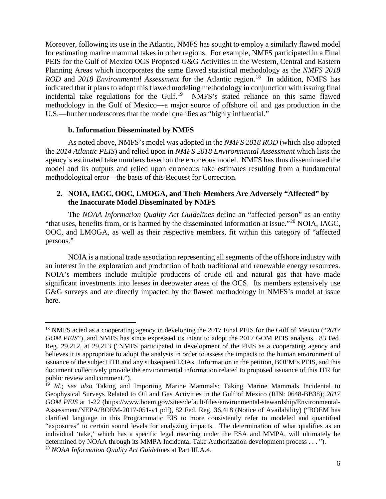Moreover, following its use in the Atlantic, NMFS has sought to employ a similarly flawed model for estimating marine mammal takes in other regions. For example, NMFS participated in a Final PEIS for the Gulf of Mexico OCS Proposed G&G Activities in the Western, Central and Eastern Planning Areas which incorporates the same flawed statistical methodology as the *NMFS 2018 ROD* and *20[18](#page-5-0) Environmental Assessment* for the Atlantic region.<sup>18</sup> In addition, NMFS has indicated that it plans to adopt this flawed modeling methodology in conjunction with issuing final incidental take regulations for the Gulf.<sup>[19](#page-5-1)</sup> NMFS's stated reliance on this same flawed methodology in the Gulf of Mexico—a major source of offshore oil and gas production in the U.S.—further underscores that the model qualifies as "highly influential."

## **b. Information Disseminated by NMFS**

As noted above, NMFS's model was adopted in the *NMFS 2018 ROD* (which also adopted the *2014 Atlantic PEIS*) and relied upon in *NMFS 2018 Environmental Assessment* which lists the agency's estimated take numbers based on the erroneous model. NMFS has thus disseminated the model and its outputs and relied upon erroneous take estimates resulting from a fundamental methodological error—the basis of this Request for Correction.

# **2. NOIA, IAGC, OOC, LMOGA, and Their Members Are Adversely "Affected" by the Inaccurate Model Disseminated by NMFS**

The *NOAA Information Quality Act Guidelines* define an "affected person" as an entity "that uses, benefits from, or is harmed by the disseminated information at issue."[20](#page-5-2) NOIA, IAGC, OOC, and LMOGA, as well as their respective members, fit within this category of "affected persons."

NOIA is a national trade association representing all segments of the offshore industry with an interest in the exploration and production of both traditional and renewable energy resources. NOIA's members include multiple producers of crude oil and natural gas that have made significant investments into leases in deepwater areas of the OCS. Its members extensively use G&G surveys and are directly impacted by the flawed methodology in NMFS's model at issue here.

<span id="page-5-0"></span><sup>18</sup> NMFS acted as a cooperating agency in developing the 2017 Final PEIS for the Gulf of Mexico ("*2017 GOM PEIS*"), and NMFS has since expressed its intent to adopt the 2017 GOM PEIS analysis. 83 Fed. Reg. 29,212, at 29,213 ("NMFS participated in development of the PEIS as a cooperating agency and believes it is appropriate to adopt the analysis in order to assess the impacts to the human environment of issuance of the subject ITR and any subsequent LOAs. Information in the petition, BOEM's PEIS, and this document collectively provide the environmental information related to proposed issuance of this ITR for public review and comment.").

<span id="page-5-2"></span><span id="page-5-1"></span><sup>&</sup>lt;sup>19</sup> *Id.: see also* Taking and Importing Marine Mammals: Taking Marine Mammals Incidental to Geophysical Surveys Related to Oil and Gas Activities in the Gulf of Mexico (RIN: 0648-BB38); *2017 GOM PEIS* at 1-22 (https://www.boem.gov/sites/default/files/environmental-stewardship/Environmental-Assessment/NEPA/BOEM-2017-051-v1.pdf), 82 Fed. Reg. 36,418 (Notice of Availability) ("BOEM has clarified language in this Programmatic EIS to more consistently refer to modeled and quantified "exposures" to certain sound levels for analyzing impacts. The determination of what qualifies as an individual 'take,' which has a specific legal meaning under the ESA and MMPA, will ultimately be determined by NOAA through its MMPA Incidental Take Authorization development process . . . "). <sup>20</sup> *NOAA Information Quality Act Guideli*nes at Part III.A.4.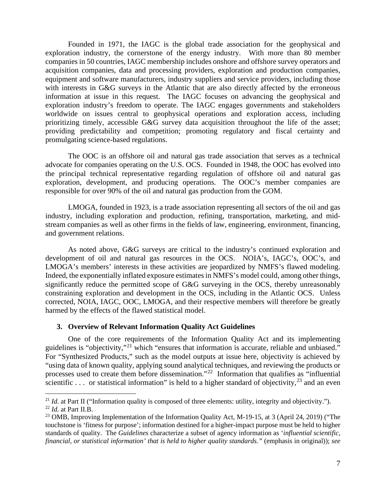Founded in 1971, the IAGC is the global trade association for the geophysical and exploration industry, the cornerstone of the energy industry. With more than 80 member companies in 50 countries, IAGC membership includes onshore and offshore survey operators and acquisition companies, data and processing providers, exploration and production companies, equipment and software manufacturers, industry suppliers and service providers, including those with interests in G&G surveys in the Atlantic that are also directly affected by the erroneous information at issue in this request. The IAGC focuses on advancing the geophysical and exploration industry's freedom to operate. The IAGC engages governments and stakeholders worldwide on issues central to geophysical operations and exploration access, including prioritizing timely, accessible G&G survey data acquisition throughout the life of the asset; providing predictability and competition; promoting regulatory and fiscal certainty and promulgating science-based regulations.

The OOC is an offshore oil and natural gas trade association that serves as a technical advocate for companies operating on the U.S. OCS. Founded in 1948, the OOC has evolved into the principal technical representative regarding regulation of offshore oil and natural gas exploration, development, and producing operations. The OOC's member companies are responsible for over 90% of the oil and natural gas production from the GOM.

LMOGA, founded in 1923, is a trade association representing all sectors of the oil and gas industry, including exploration and production, refining, transportation, marketing, and midstream companies as well as other firms in the fields of law, engineering, environment, financing, and government relations.

As noted above, G&G surveys are critical to the industry's continued exploration and development of oil and natural gas resources in the OCS. NOIA's, IAGC's, OOC's, and LMOGA's members' interests in these activities are jeopardized by NMFS's flawed modeling. Indeed, the exponentially inflated exposure estimates in NMFS's model could, among other things, significantly reduce the permitted scope of G&G surveying in the OCS, thereby unreasonably constraining exploration and development in the OCS, including in the Atlantic OCS. Unless corrected, NOIA, IAGC, OOC, LMOGA, and their respective members will therefore be greatly harmed by the effects of the flawed statistical model.

## **3. Overview of Relevant Information Quality Act Guidelines**

One of the core requirements of the Information Quality Act and its implementing guidelines is "objectivity,"<sup>[21](#page-6-0)</sup> which "ensures that information is accurate, reliable and unbiased." For "Synthesized Products," such as the model outputs at issue here, objectivity is achieved by "using data of known quality, applying sound analytical techniques, and reviewing the products or processes used to create them before dissemination."[22](#page-6-1) Information that qualifies as "influential scientific . . . or statistical information" is held to a higher standard of objectivity,  $^{23}$  $^{23}$  $^{23}$  and an even

<span id="page-6-0"></span><sup>&</sup>lt;sup>21</sup> *Id.* at Part II ("Information quality is composed of three elements: utility, integrity and objectivity."). <sup>22</sup> *Id.* at Part II.B.

<span id="page-6-2"></span><span id="page-6-1"></span><sup>&</sup>lt;sup>23</sup> OMB, Improving Implementation of the Information Quality Act, M-19-15, at 3 (April 24, 2019) ("The touchstone is 'fitness for purpose'; information destined for a higher-impact purpose must be held to higher standards of quality. The *Guidelines* characterize a subset of agency information as '*influential scientific, financial, or statistical information' that is held to higher quality standards."* (emphasis in original)); *see*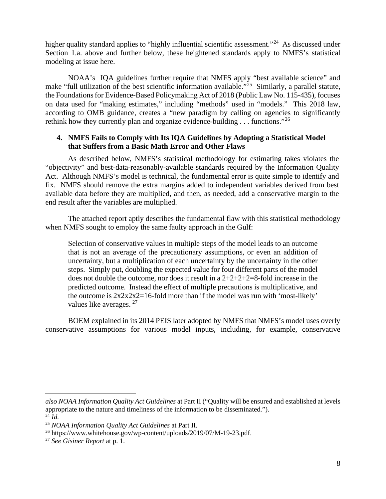higher quality standard applies to "highly influential scientific assessment."<sup>[24](#page-7-0)</sup> As discussed under Section 1.a. above and further below, these heightened standards apply to NMFS's statistical modeling at issue here.

NOAA's IQA guidelines further require that NMFS apply "best available science" and make "full utilization of the best scientific information available."<sup>[25](#page-7-1)</sup> Similarly, a parallel statute, the Foundations for Evidence-Based Policymaking Act of 2018 (Public Law No. 115-435), focuses on data used for "making estimates," including "methods" used in "models." This 2018 law, according to OMB guidance, creates a "new paradigm by calling on agencies to significantly rethink how they currently plan and organize evidence-building . . . functions."[26](#page-7-2)

# **4. NMFS Fails to Comply with Its IQA Guidelines by Adopting a Statistical Model that Suffers from a Basic Math Error and Other Flaws**

As described below, NMFS's statistical methodology for estimating takes violates the "objectivity" and best-data-reasonably-available standards required by the Information Quality Act. Although NMFS's model is technical, the fundamental error is quite simple to identify and fix. NMFS should remove the extra margins added to independent variables derived from best available data before they are multiplied, and then, as needed, add a conservative margin to the end result after the variables are multiplied.

The attached report aptly describes the fundamental flaw with this statistical methodology when NMFS sought to employ the same faulty approach in the Gulf:

Selection of conservative values in multiple steps of the model leads to an outcome that is not an average of the precautionary assumptions, or even an addition of uncertainty, but a multiplication of each uncertainty by the uncertainty in the other steps. Simply put, doubling the expected value for four different parts of the model does not double the outcome, nor does it result in a  $2+2+2+2=8$ -fold increase in the predicted outcome. Instead the effect of multiple precautions is multiplicative, and the outcome is  $2x2x2z=16$ -fold more than if the model was run with 'most-likely' values like averages. <sup>[27](#page-7-3)</sup>

BOEM explained in its 2014 PEIS later adopted by NMFS that NMFS's model uses overly conservative assumptions for various model inputs, including, for example, conservative

*also NOAA Information Quality Act Guidelines* at Part II ("Quality will be ensured and established at levels appropriate to the nature and timeliness of the information to be disseminated.").  $24$   $\tilde{I}d$ .

<span id="page-7-0"></span>

<span id="page-7-1"></span><sup>25</sup> *NOAA Information Quality Act Guidelines* at Part II.

<span id="page-7-2"></span><sup>&</sup>lt;sup>26</sup> https://www.whitehouse.gov/wp-content/uploads/2019/07/M-19-23.pdf.

<span id="page-7-3"></span><sup>27</sup> *See Gisiner Report* at p. 1.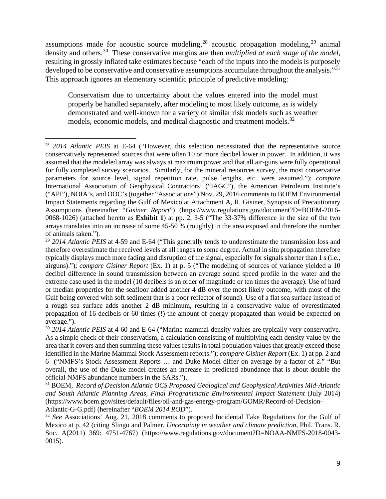assumptions made for acoustic source modeling,  $28$  acoustic propagation modeling,  $29$  animal density and others.[30](#page-8-2) These conservative margins are then *multiplied at each stage of the model*, resulting in grossly inflated take estimates because "each of the inputs into the models is purposely developed to be conservative and conservative assumptions accumulate throughout the analysis."<sup>[31](#page-8-3)</sup> This approach ignores an elementary scientific principle of predictive modeling:

Conservatism due to uncertainty about the values entered into the model must properly be handled separately, after modeling to most likely outcome, as is widely demonstrated and well-known for a variety of similar risk models such as weather models, economic models, and medical diagnostic and treatment models.<sup>32</sup>

<span id="page-8-0"></span><sup>28</sup> *2014 Atlantic PEIS* at E-64 ("However, this selection necessitated that the representative source conservatively represented sources that were often 10 or more decibel lower in power. In addition, it was assumed that the modeled array was always at maximum power and that all air-guns were fully operational for fully completed survey scenarios. Similarly, for the mineral resources survey, the most conservative parameters for source level, signal repetition rate, pulse lengths, etc. were assumed."); *compare* International Association of Geophysical Contractors' ("IAGC"), the American Petroleum Institute's ("API"), NOIA's, and OOC's (together "Associations") Nov. 29, 2016 comments to BOEM Environmental Impact Statements regarding the Gulf of Mexico at Attachment A, R. Gisiner, Synopsis of Precautionary Assumptions (hereinafter "*Gisiner Report*") (https://www.regulations.gov/document?D=BOEM-2016- 0068-1026) (attached hereto as **Exhibit 1**) at pp. 2, 3-5 ("The 33-37% difference in the size of the two arrays translates into an increase of some 45-50 % (roughly) in the area exposed and therefore the number of animals taken.").

<span id="page-8-1"></span><sup>29</sup> *2014 Atlantic PEIS* at 4-59 and E-64 ("This generally tends to underestimate the transmission loss and therefore overestimate the received levels at all ranges to some degree. Actual in situ propagation therefore typically displays much more fading and disruption of the signal, especially for signals shorter than 1 s (i.e., airguns)."); *compare Gisiner Report* (Ex. 1) at p. 5 ("The modeling of sources of variance yielded a 10 decibel difference in sound transmission between an average sound speed profile in the water and the extreme case used in the model (10 decibels is an order of magnitude or ten times the average). Use of hard or median properties for the seafloor added another 4 dB over the most likely outcome, with most of the Gulf being covered with soft sediment that is a poor reflector of sound). Use of a flat sea surface instead of a rough sea surface adds another 2 dB minimum, resulting in a conservative value of overestimated propagation of 16 decibels or 60 times (!) the amount of energy propagated than would be expected on average.").

<span id="page-8-2"></span><sup>&</sup>lt;sup>30</sup> 2014 Atlantic PEIS at 4-60 and E-64 ("Marine mammal density values are typically very conservative. As a simple check of their conservatism, a calculation consisting of multiplying each density value by the area that it covers and then summing these values results in total population values that greatly exceed those identified in the Marine Mammal Stock Assessment reports."); *compare Gisiner Report* (Ex. 1) at pp. 2 and 6 ("NMFS's Stock Assessment Reports … and Duke Model differ on average by a factor of 2." "But overall, the use of the Duke model creates an increase in predicted abundance that is about double the official NMFS abundance numbers in the SARs.").

<span id="page-8-3"></span><sup>31</sup> BOEM, *Record of Decision Atlantic OCS Proposed Geological and Geophysical Activities Mid-Atlantic and South Atlantic Planning Areas, Final Programmatic Environmental Impact Statement* (July 2014) (https://www.boem.gov/sites/default/files/oil-and-gas-energy-program/GOMR/Record-of-Decision-Atlantic-G-G.pdf) (hereinafter "*BOEM 2014 ROD*").

<span id="page-8-4"></span><sup>&</sup>lt;sup>32</sup> See Associations' Aug. 21, 2018 comments to proposed Incidental Take Regulations for the Gulf of Mexico at p. 42 (citing Slingo and Palmer, *Uncertainty in weather and climate prediction*, Phil. Trans. R. Soc. A(2011) 369: 4751-4767) (https://www.regulations.gov/document?D=NOAA-NMFS-2018-0043- 0015).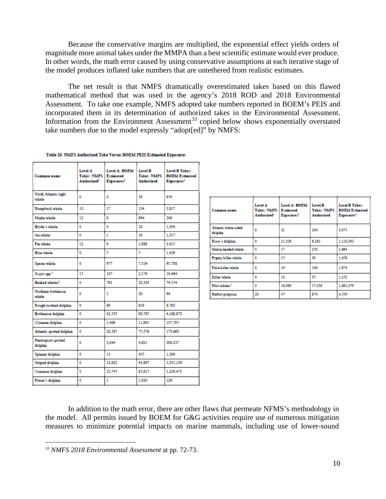Because the conservative margins are multiplied, the exponential effect yields orders of magnitude more animal takes under the MMPA than a best scientific estimate would ever produce. In other words, the math error caused by using conservative assumptions at each iterative stage of the model produces inflated take numbers that are untethered from realistic estimates.

The net result is that NMFS dramatically overestimated takes based on this flawed mathematical method that was used in the agency's 2018 ROD and 2018 Environmental Assessment. To take one example, NMFS adopted take numbers reported in BOEM's PEIS and incorporated them in its determination of authorized takes in the Environmental Assessment. Information from the Environment Assessment<sup>[33](#page-9-0)</sup> copied below shows exponentially overstated take numbers due to the model expressly "adopt[ed]" by NMFS:

| Common name                    | Level A<br><b>Takes: NMFS</b><br>Authorized <sup>1</sup> | Level A: BOEM<br><b>Estimated</b><br>Exposures <sup>2</sup> | Level B<br><b>Takes: NMFS</b><br><b>Authorized</b> | Level B Takes:<br><b>BOEM Estimated</b><br>Exposures <sup>3</sup> |
|--------------------------------|----------------------------------------------------------|-------------------------------------------------------------|----------------------------------------------------|-------------------------------------------------------------------|
| North Atlantic right<br>whale  | ٥                                                        | ٥                                                           | 19                                                 | 954                                                               |
| Humpback whale                 | 10                                                       | 17                                                          | 134                                                | 3.817                                                             |
| Minke whale                    | 12                                                       | ٥                                                           | 694                                                | 206                                                               |
| Bryde's whale                  | ٥                                                        | 4                                                           | 10                                                 | 1.304                                                             |
| Sei whale                      | ٥                                                        | ı                                                           | 10                                                 | 1.317                                                             |
| Fin whale                      | 12                                                       | ٥                                                           | 1,888                                              | 3.015                                                             |
| Blue whale                     | ٥                                                        | 5                                                           | 5.                                                 | 1.429                                                             |
| Sperm whale                    | ٥                                                        | 977                                                         | 7,524                                              | 95,708                                                            |
| Kogia spp. <sup>5</sup>        | 15                                                       | 107                                                         | 2,176                                              | 10,464                                                            |
| Beaked whales <sup>6</sup>     | ٥                                                        | 761                                                         | 23.324                                             | 74.554                                                            |
| Northern bottlenose<br>whale   | ٥                                                        | 1                                                           | 20                                                 | 90                                                                |
| Rough-toothed dolphin          | ٥                                                        | 89                                                          | 819                                                | 8.763                                                             |
| Bottlenose dolphin             | ٥                                                        | 42.535                                                      | 90,795                                             | 4.168.872                                                         |
| Clymone dolphin                | ٥                                                        | 1.406                                                       | 11.891                                             | 137,795                                                           |
| Atlantic spotted dolphin       | ٥                                                        | 20,587                                                      | 75,576                                             | 173.663                                                           |
| Pantropical spotted<br>dolphin | ٥                                                        | 3.044                                                       | 4.821                                              | 298.327                                                           |
| Spinner dolphin                | ٥                                                        | 13                                                          | 455                                                | 1.296                                                             |
| <b>Striped dolphin</b>         | ٥                                                        | 13.622                                                      | 43,897                                             | 1,335,139                                                         |
| Common dolphin                 | ٥                                                        | 22,747                                                      | 85,817                                             | 2.229.473                                                         |
| Fraser's dolphin               | ٥                                                        | ı                                                           | 1,020                                              | 126                                                               |

|  |  | Table 10. NMFS Authorized Take Versus BOEM PEIS Estimated Exposures |  |  |  |  |  |  |
|--|--|---------------------------------------------------------------------|--|--|--|--|--|--|
|--|--|---------------------------------------------------------------------|--|--|--|--|--|--|

| Common name                     | Level A<br>Takes: NMFS  <br>Authorized <sup>1</sup> | Level A: BOEM<br>Estimated<br>Exposures <sup>2</sup> | Level B<br><b>Takes: NMFS</b><br>Authorized | Level B Takes:<br><b>BOEM Estimated</b><br>Exposures <sup>3</sup> |
|---------------------------------|-----------------------------------------------------|------------------------------------------------------|---------------------------------------------|-------------------------------------------------------------------|
| Atlantic white-sided<br>dolphin | ٥                                                   | 31                                                   | 240                                         | 3.075                                                             |
| Risso's dolphin                 | ٥                                                   | 11,329                                               | 6.162                                       | 1,110,342                                                         |
| Melon-headed whale              | ٥                                                   | 17                                                   | 250                                         | 1.664                                                             |
| Pygmy killer whale              | ٥                                                   | 15                                                   | 30                                          | 1.458                                                             |
| False killer whale              | ٥                                                   | 19                                                   | 140                                         | 1.874                                                             |
| Killer whale                    | ٥                                                   | 13                                                   | 35                                          | 1.252                                                             |
| Pilot whales <sup>7</sup>       | ٥                                                   | 18,989                                               | 17,338                                      | 1,861,079                                                         |
| Harbor porpoise                 | 20                                                  | 47                                                   | 874                                         | 4.559                                                             |

In addition to the math error, there are other flaws that permeate NFMS's methodology in the model. All permits issued by BOEM for G&G activities require use of numerous mitigation measures to minimize potential impacts on marine mammals, including use of lower-sound

<span id="page-9-0"></span><sup>33</sup> *NMFS 2018 Environmental Assessment* at pp. 72-73.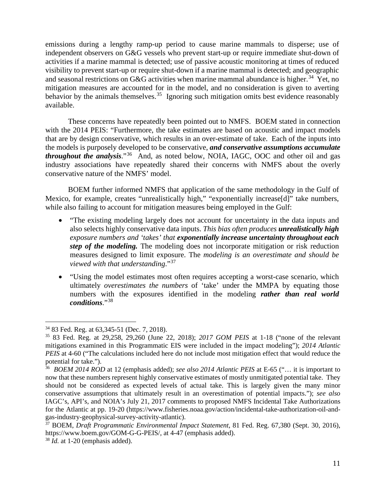emissions during a lengthy ramp-up period to cause marine mammals to disperse; use of independent observers on G&G vessels who prevent start-up or require immediate shut-down of activities if a marine mammal is detected; use of passive acoustic monitoring at times of reduced visibility to prevent start-up or require shut-down if a marine mammal is detected; and geographic and seasonal restrictions on G&G activities when marine mammal abundance is higher.<sup>34</sup> Yet, no mitigation measures are accounted for in the model, and no consideration is given to averting behavior by the animals themselves.<sup>35</sup> Ignoring such mitigation omits best evidence reasonably available.

These concerns have repeatedly been pointed out to NMFS. BOEM stated in connection with the 2014 PEIS: "Furthermore, the take estimates are based on acoustic and impact models that are by design conservative, which results in an over-estimate of take. Each of the inputs into the models is purposely developed to be conservative, *and conservative assumptions accumulate throughout the analysis*."[36](#page-10-2) And, as noted below, NOIA, IAGC, OOC and other oil and gas industry associations have repeatedly shared their concerns with NMFS about the overly conservative nature of the NMFS' model.

BOEM further informed NMFS that application of the same methodology in the Gulf of Mexico, for example, creates "unrealistically high," "exponentially increase[d]" take numbers, while also failing to account for mitigation measures being employed in the Gulf:

- "The existing modeling largely does not account for uncertainty in the data inputs and also selects highly conservative data inputs. *This bias often produces unrealistically high exposure numbers and 'takes' that exponentially increase uncertainty throughout each step of the modeling.* The modeling does not incorporate mitigation or risk reduction measures designed to limit exposure. The *modeling is an overestimate and should be viewed with that understanding*."[37](#page-10-3)
- "Using the model estimates most often requires accepting a worst-case scenario, which ultimately *overestimates the numbers* of 'take' under the MMPA by equating those numbers with the exposures identified in the modeling *rather than real world conditions*."[38](#page-10-4)

<span id="page-10-0"></span><sup>34</sup> 83 Fed. Reg. at 63,345-51 (Dec. 7, 2018).

<span id="page-10-1"></span><sup>35</sup> 83 Fed. Reg. at 29,258, 29,260 (June 22, 2018); *2017 GOM PEIS* at 1-18 ("none of the relevant mitigations examined in this Programmatic EIS were included in the impact modeling"); *2014 Atlantic PEIS* at 4-60 ("The calculations included here do not include most mitigation effect that would reduce the potential for take.").

<span id="page-10-2"></span><sup>36</sup> *BOEM 2014 ROD* at 12 (emphasis added); *see also 2014 Atlantic PEIS* at E-65 ("… it is important to now that these numbers represent highly conservative estimates of mostly unmitigated potential take. They should not be considered as expected levels of actual take. This is largely given the many minor conservative assumptions that ultimately result in an overestimation of potential impacts."); *see also*  IAGC's, API's, and NOIA's July 21, 2017 comments to proposed NMFS Incidental Take Authorizations for the Atlantic at pp. 19-20 (https://www.fisheries.noaa.gov/action/incidental-take-authorization-oil-andgas-industry-geophysical-survey-activity-atlantic).

<span id="page-10-3"></span><sup>37</sup> BOEM, *Draft Programmatic Environmental Impact Statement*, 81 Fed. Reg. 67,380 (Sept. 30, 2016), https://www.boem.gov/GOM-G-G-PEIS/, at 4-47 (emphasis added).

<span id="page-10-4"></span><sup>38</sup> *Id.* at 1-20 (emphasis added).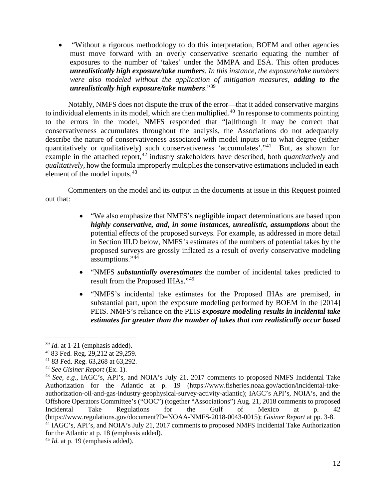• "Without a rigorous methodology to do this interpretation, BOEM and other agencies must move forward with an overly conservative scenario equating the number of exposures to the number of 'takes' under the MMPA and ESA. This often produces *unrealistically high exposure/take numbers. In this instance, the exposure/take numbers were also modeled without the application of mitigation measures, adding to the unrealistically high exposure/take numbers*."[39](#page-11-0)

Notably, NMFS does not dispute the crux of the error—that it added conservative margins to individual elements in its model, which are then multiplied.<sup>40</sup> In response to comments pointing to the errors in the model, NMFS responded that "[a]lthough it may be correct that conservativeness accumulates throughout the analysis, the Associations do not adequately describe the nature of conservativeness associated with model inputs or to what degree (either quantitatively or qualitatively) such conservativeness 'accumulates'."[41](#page-11-2) But, as shown for example in the attached report,<sup>[42](#page-11-3)</sup> industry stakeholders have described, both *quantitatively* and *qualitatively,* how the formula improperly multiplies the conservative estimations included in each element of the model inputs.<sup>43</sup>

Commenters on the model and its output in the documents at issue in this Request pointed out that:

- "We also emphasize that NMFS's negligible impact determinations are based upon *highly conservative, and, in some instances, unrealistic, assumptions* about the potential effects of the proposed surveys. For example, as addressed in more detail in Section III.D below, NMFS's estimates of the numbers of potential takes by the proposed surveys are grossly inflated as a result of overly conservative modeling assumptions."[44](#page-11-5)
- "NMFS *substantially overestimates* the number of incidental takes predicted to result from the Proposed IHAs."[45](#page-11-6)
- "NMFS's incidental take estimates for the Proposed IHAs are premised, in substantial part, upon the exposure modeling performed by BOEM in the [2014] PEIS. NMFS's reliance on the PEIS *exposure modeling results in incidental take estimates far greater than the number of takes that can realistically occur based*

<span id="page-11-0"></span><sup>39</sup> *Id.* at 1-21 (emphasis added).

<span id="page-11-1"></span><sup>40</sup> 83 Fed. Reg. 29,212 at 29,259.

<span id="page-11-2"></span><sup>41</sup> 83 Fed. Reg. 63,268 at 63,292.

<span id="page-11-3"></span><sup>42</sup> *See Gisiner Report* (Ex. 1).

<span id="page-11-4"></span><sup>43</sup> *See, e.g.,* IAGC's, API's, and NOIA's July 21, 2017 comments to proposed NMFS Incidental Take Authorization for the Atlantic at p. 19 (https://www.fisheries.noaa.gov/action/incidental-takeauthorization-oil-and-gas-industry-geophysical-survey-activity-atlantic); IAGC's API's, NOIA's, and the Offshore Operators Committee's ("OOC") (together "Associations") Aug. 21, 2018 comments to proposed Incidental Take Regulations for the Gulf of Mexico at p. 42 (https://www.regulations.gov/document?D=NOAA-NMFS-2018-0043-0015); *Gisiner Report* at pp. 3-8. <sup>44</sup> IAGC's, API's, and NOIA's July 21, 2017 comments to proposed NMFS Incidental Take Authorization

<span id="page-11-5"></span>for the Atlantic at p. 18 (emphasis added).

<span id="page-11-6"></span><sup>&</sup>lt;sup>45</sup> *Id.* at p. 19 (emphasis added).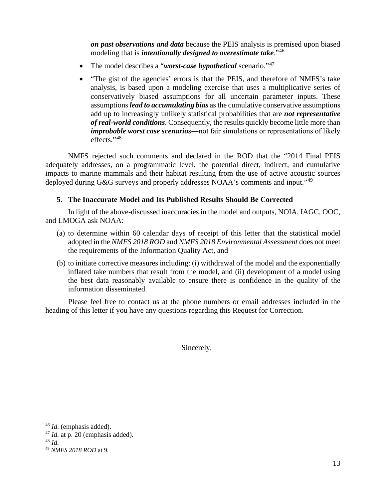*on past observations and data* because the PEIS analysis is premised upon biased modeling that is *intentionally designed to overestimate take*."[46](#page-12-0)

- The model describes a "*worst-case hypothetical* scenario."<sup>[47](#page-12-1)</sup>
- "The gist of the agencies' errors is that the PEIS, and therefore of NMFS's take analysis, is based upon a modeling exercise that uses a multiplicative series of conservatively biased assumptions for all uncertain parameter inputs. These assumptions *lead to accumulating bias* as the cumulative conservative assumptions add up to increasingly unlikely statistical probabilities that are *not representative of real-world conditions*. Consequently, the results quickly become little more than *improbable worst case scenarios*―not fair simulations or representations of likely effects."[48](#page-12-2)

NMFS rejected such comments and declared in the ROD that the "2014 Final PEIS adequately addresses, on a programmatic level, the potential direct, indirect, and cumulative impacts to marine mammals and their habitat resulting from the use of active acoustic sources deployed during G&G surveys and properly addresses NOAA's comments and input."<sup>[49](#page-12-3)</sup>

# **5. The Inaccurate Model and Its Published Results Should Be Corrected**

In light of the above-discussed inaccuracies in the model and outputs, NOIA, IAGC, OOC, and LMOGA ask NOAA:

- (a) to determine within 60 calendar days of receipt of this letter that the statistical model adopted in the *NMFS 2018 ROD* and *NMFS 2018 Environmental Assessment* does not meet the requirements of the Information Quality Act, and
- (b) to initiate corrective measures including: (i) withdrawal of the model and the exponentially inflated take numbers that result from the model, and (ii) development of a model using the best data reasonably available to ensure there is confidence in the quality of the information disseminated.

Please feel free to contact us at the phone numbers or email addresses included in the heading of this letter if you have any questions regarding this Request for Correction.

Sincerely,

<span id="page-12-0"></span><sup>46</sup> *Id.* (emphasis added).

<span id="page-12-1"></span><sup>&</sup>lt;sup>47</sup> *Id.* at p. 20 (emphasis added).

<span id="page-12-2"></span><sup>48</sup> *Id.*

<span id="page-12-3"></span><sup>49</sup> *NMFS 2018 ROD* at 9.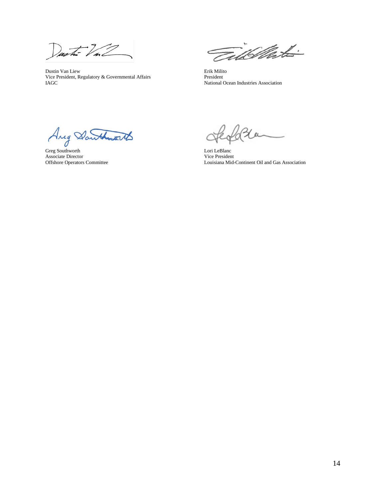Dustin Val

Dustin Van Liew Erik Milito<br>
Vice President, Regulatory & Governmental Affairs President President Vice President, Regulatory  $\&$  Governmental Affairs IAGC

Till Mot- $\epsilon$ 

National Ocean Industries Association

Greg Southworth Lori LeBlanc Associate Director Vice President

Louisiana Mid-Continent Oil and Gas Association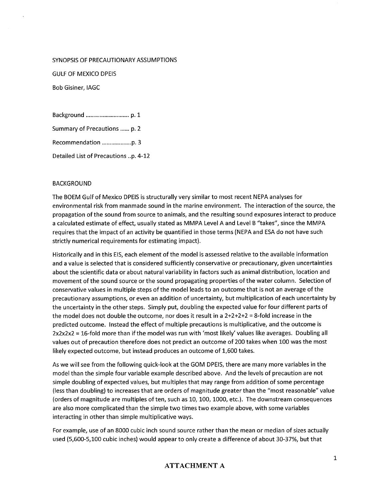#### SYNOPSIS OF PRECAUTIONARY ASSUMPTIONS

**GULF OF MEXICO DPEIS** 

**Bob Gisiner, IAGC** 

Summary of Precautions ...... p. 2 Detailed List of Precautions ..p. 4-12

#### **BACKGROUND**

The BOEM Gulf of Mexico DPEIS is structurally very similar to most recent NEPA analyses for environmental risk from manmade sound in the marine environment. The interaction of the source, the propagation of the sound from source to animals, and the resulting sound exposures interact to produce a calculated estimate of effect, usually stated as MMPA Level A and Level B "takes", since the MMPA requires that the impact of an activity be quantified in those terms (NEPA and ESA do not have such strictly numerical requirements for estimating impact).

Historically and in this EIS, each element of the model is assessed relative to the available information and a value is selected that is considered sufficiently conservative or precautionary, given uncertainties about the scientific data or about natural variability in factors such as animal distribution, location and movement of the sound source or the sound propagating properties of the water column. Selection of conservative values in multiple steps of the model leads to an outcome that is not an average of the precautionary assumptions, or even an addition of uncertainty, but multiplication of each uncertainty by the uncertainty in the other steps. Simply put, doubling the expected value for four different parts of the model does not double the outcome, nor does it result in a  $2+2+2+2=8$ -fold increase in the predicted outcome. Instead the effect of multiple precautions is multiplicative, and the outcome is 2x2x2x2 = 16-fold more than if the model was run with 'most likely' values like averages. Doubling all values out of precaution therefore does not predict an outcome of 200 takes when 100 was the most likely expected outcome, but instead produces an outcome of 1,600 takes.

As we will see from the following quick-look at the GOM DPEIS, there are many more variables in the model than the simple four variable example described above. And the levels of precaution are not simple doubling of expected values, but multiples that may range from addition of some percentage (less than doubling) to increases that are orders of magnitude greater than the "most reasonable" value (orders of magnitude are multiples of ten, such as 10, 100, 1000, etc.). The downstream consequences are also more complicated than the simple two times two example above, with some variables interacting in other than simple multiplicative ways.

For example, use of an 8000 cubic inch sound source rather than the mean or median of sizes actually used (5,600-5,100 cubic inches) would appear to only create a difference of about 30-37%, but that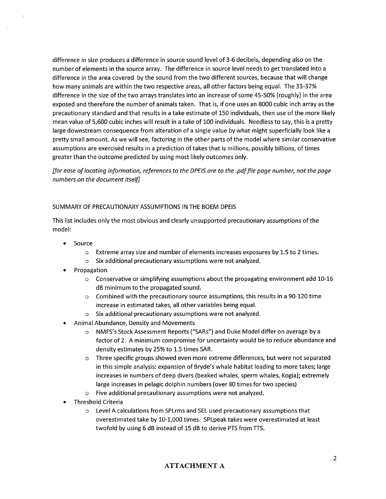difference in size produces a difference in source sound level of 3-6 decibels, depending also on the number of elements in the source array. The difference in source level needs to get translated into a difference in the area covered by the sound from the two different sources, because that will change how many animals are within the two respective areas, all other factors being equal. The 33-37% difference in the size of the two arrays translates into an increase of some 45-50% (roughly) in the area exposed and therefore the number of animals taken. That is, if one uses an 8000 cubic inch array as the precautionary standard and that results in a take estimate of 150 individuals, then use of the more likely mean value of 5,600 cubic inches will result in a take of 100 individuals. Needless to say, this is a pretty large downstream consequence from alteration of a single value by what might superficially look like a pretty small amount. As we will see, factoring in the other parts of the model where similar conservative assumptions are exercised results in a prediction of takes that is millions, possibly billions, of times greater than the outcome predicted by using most likely outcomes only.

[for ease of locating information, references to the DPEIS are to the .pdf file page number, not the page numbers on the document itself

#### SUMMARY OF PRECAUTIONARY ASSUMPTIONS IN THE BOEM DPEIS

This list includes only the most obvious and clearly unsupported precautionary assumptions of the model:

- Source  $\bullet$ 
	- $\circ$ Extreme array size and number of elements increases exposures by 1.5 to 2 times.
	- Six additional precautionary assumptions were not analyzed.  $\circ$
- Propagation
	- Conservative or simplifying assumptions about the propagating environment add 10-16  $\circ$ dB minimum to the propagated sound.
	- $\circ$  Combined with the precautionary source assumptions, this results in a 90-120 time increase in estimated takes, all other variables being equal.
	- Six additional precautionary assumptions were not analyzed.  $\circ$
- Animal Abundance, Density and Movements
	- o NMFS's Stock Assessment Reports ("SARs") and Duke Model differ on average by a factor of 2. A minimum compromise for uncertainty would be to reduce abundance and density estimates by 25% to 1.5 times SAR.
	- Three specific groups showed even more extreme differences, but were not separated  $\circ$ in this simple analysis: expansion of Bryde's whale habitat leading to more takes; large increases in numbers of deep divers (beaked whales, sperm whales, Kogia); extremely large increases in pelagic dolphin numbers (over 80 times for two species)
	- o Five additional precautionary assumptions were not analyzed.
- **Threshold Criteria** 
	- $\circ$  Level A calculations from SPL ms and SEL used precautionary assumptions that overestimated take by 10-1,000 times. SPLpeak takes were overestimated at least twofold by using 6 dB instead of 15 dB to derive PTS from TTS.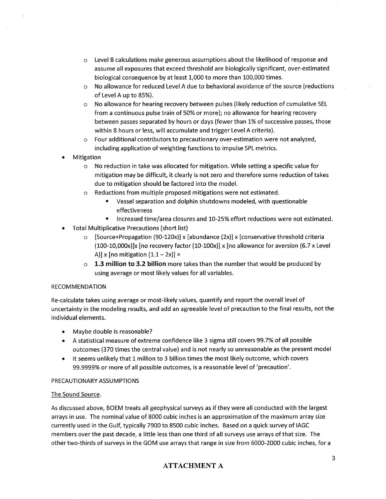- $\circ$  Level B calculations make generous assumptions about the likelihood of response and assume all exposures that exceed threshold are biologically significant, over-estimated biological consequence by at least 1,000 to more than 100,000 times.
- o No allowance for reduced Level A due to behavioral avoidance of the source (reductions of Level A up to 85%).
- o No allowance for hearing recovery between pulses (likely reduction of cumulative SEL from a continuous pulse train of 50% or more); no allowance for hearing recovery between passes separated by hours or days (fewer than 1% of successive passes, those within 8 hours or less, will accumulate and trigger Level A criteria).
- Four additional contributors to precautionary over-estimation were not analyzed,  $\circ$ including application of weighting functions to impulse SPL metrics.
- Mitigation
	- o No reduction in take was allocated for mitigation. While setting a specific value for mitigation may be difficult, it clearly is not zero and therefore some reduction of takes due to mitigation should be factored into the model.
	- o Reductions from multiple proposed mitigations were not estimated.
		- $\blacksquare$ Vessel separation and dolphin shutdowns modeled, with questionable effectiveness
		- Increased time/area closures and 10-25% effort reductions were not estimated.  $\blacksquare$
- **Total Multiplicative Precautions (short list)** 
	- $\circ$  [Source+Propagation (90-120x)] x [abundance (2x)] x [conservative threshold criteria (100-10,000x)]x [no recovery factor (10-100x)] x [no allowance for aversion (6.7 x Level A)] x [no mitigation  $(1.1 - 2x)$ ] =
	- $\circ$  1.3 million to 3.2 billion more takes than the number that would be produced by using average or most likely values for all variables.

### **RECOMMENDATION**

Re-calculate takes using average or most-likely values, quantify and report the overall level of uncertainty in the modeling results, and add an agreeable level of precaution to the final results, not the individual elements.

- Maybe double is reasonable?  $\bullet$
- A statistical measure of extreme confidence like 3 sigma still covers 99.7% of all possible outcomes (370 times the central value) and is not nearly so unreasonable as the present model
- It seems unlikely that 1 million to 3 billion times the most likely outcome, which covers ٠ 99.9999% or more of all possible outcomes, is a reasonable level of 'precaution'.

### PRECAUTIONARY ASSUMPTIONS

### The Sound Source.

As discussed above, BOEM treats all geophysical surveys as if they were all conducted with the largest arrays in use. The nominal value of 8000 cubic inches is an approximation of the maximum array size currently used in the Gulf, typically 7900 to 8500 cubic inches. Based on a quick survey of IAGC members over the past decade, a little less than one third of all surveys use arrays of that size. The other two-thirds of surveys in the GOM use arrays that range in size from 6000-2000 cubic inches, for a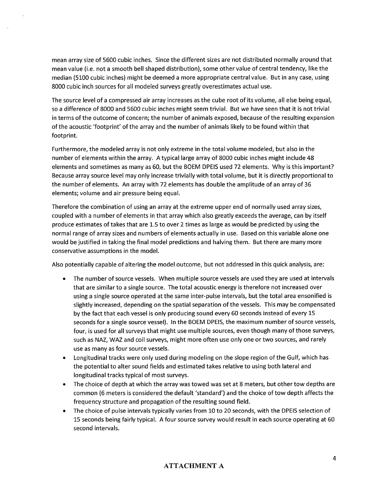mean array size of 5600 cubic inches. Since the different sizes are not distributed normally around that mean value (i.e. not a smooth bell shaped distribution), some other value of central tendency, like the median (5100 cubic inches) might be deemed a more appropriate central value. But in any case, using 8000 cubic inch sources for all modeled surveys greatly overestimates actual use.

The source level of a compressed air array increases as the cube root of its volume, all else being equal, so a difference of 8000 and 5600 cubic inches might seem trivial. But we have seen that it is not trivial in terms of the outcome of concern; the number of animals exposed, because of the resulting expansion of the acoustic 'footprint' of the array and the number of animals likely to be found within that footprint.

Furthermore, the modeled array is not only extreme in the total volume modeled, but also in the number of elements within the array. A typical large array of 8000 cubic inches might include 48 elements and sometimes as many as 60, but the BOEM DPEIS used 72 elements. Why is this important? Because array source level may only increase trivially with total volume, but it is directly proportional to the number of elements. An array with 72 elements has double the amplitude of an array of 36 elements; volume and air pressure being equal.

Therefore the combination of using an array at the extreme upper end of normally used array sizes, coupled with a number of elements in that array which also greatly exceeds the average, can by itself produce estimates of takes that are 1.5 to over 2 times as large as would be predicted by using the normal range of array sizes and numbers of elements actually in use. Based on this variable alone one would be justified in taking the final model predictions and halving them. But there are many more conservative assumptions in the model.

Also potentially capable of altering the model outcome, but not addressed in this quick analysis, are:

- The number of source vessels. When multiple source vessels are used they are used at intervals  $\bullet$ that are similar to a single source. The total acoustic energy is therefore not increased over using a single source operated at the same inter-pulse intervals, but the total area ensonified is slightly increased, depending on the spatial separation of the vessels. This may be compensated by the fact that each vessel is only producing sound every 60 seconds instead of every 15 seconds for a single source vessel). In the BOEM DPEIS, the maximum number of source vessels, four, is used for all surveys that might use multiple sources, even though many of those surveys, such as NAZ, WAZ and coil surveys, might more often use only one or two sources, and rarely use as many as four source vessels.
- Longitudinal tracks were only used during modeling on the slope region of the Gulf, which has the potential to alter sound fields and estimated takes relative to using both lateral and longitudinal tracks typical of most surveys.
- The choice of depth at which the array was towed was set at 8 meters, but other tow depths are common (6 meters is considered the default 'standard') and the choice of tow depth affects the frequency structure and propagation of the resulting sound field.
- The choice of pulse intervals typically varies from 10 to 20 seconds, with the DPEIS selection of 15 seconds being fairly typical. A four source survey would result in each source operating at 60 second intervals.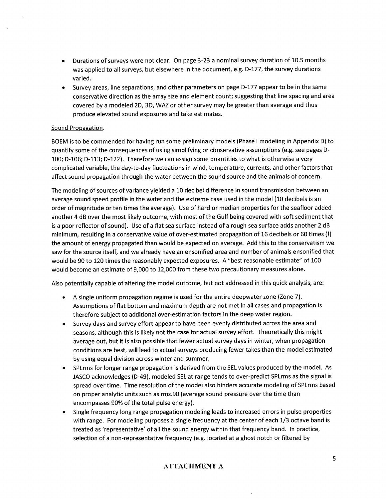- Durations of surveys were not clear. On page 3-23 a nominal survey duration of 10.5 months  $\bullet$ was applied to all surveys, but elsewhere in the document, e.g. D-177, the survey durations varied.
- Survey areas, line separations, and other parameters on page D-177 appear to be in the same  $\bullet$ conservative direction as the array size and element count; suggesting that line spacing and area covered by a modeled 2D, 3D, WAZ or other survey may be greater than average and thus produce elevated sound exposures and take estimates.

#### Sound Propagation.

BOEM is to be commended for having run some preliminary models (Phase I modeling in Appendix D) to quantify some of the consequences of using simplifying or conservative assumptions (e.g. see pages D-100; D-106; D-113; D-122). Therefore we can assign some quantities to what is otherwise a very complicated variable, the day-to-day fluctuations in wind, temperature, currents, and other factors that affect sound propagation through the water between the sound source and the animals of concern.

The modeling of sources of variance yielded a 10 decibel difference in sound transmission between an average sound speed profile in the water and the extreme case used in the model (10 decibels is an order of magnitude or ten times the average). Use of hard or median properties for the seafloor added another 4 dB over the most likely outcome, with most of the Gulf being covered with soft sediment that is a poor reflector of sound). Use of a flat sea surface instead of a rough sea surface adds another 2 dB minimum, resulting in a conservative value of over-estimated propagation of 16 decibels or 60 times (!) the amount of energy propagated than would be expected on average. Add this to the conservatism we saw for the source itself, and we already have an ensonified area and number of animals ensonified that would be 90 to 120 times the reasonably expected exposures. A "best reasonable estimate" of 100 would become an estimate of 9,000 to 12,000 from these two precautionary measures alone.

Also potentially capable of altering the model outcome, but not addressed in this quick analysis, are:

- A single uniform propagation regime is used for the entire deepwater zone (Zone 7). Assumptions of flat bottom and maximum depth are not met in all cases and propagation is therefore subject to additional over-estimation factors in the deep water region.
- Survey days and survey effort appear to have been evenly distributed across the area and seasons, although this is likely not the case for actual survey effort. Theoretically this might average out, but it is also possible that fewer actual survey days in winter, when propagation conditions are best, will lead to actual surveys producing fewer takes than the model estimated by using equal division across winter and summer.
- SPLrms for longer range propagation is derived from the SEL values produced by the model. As JASCO acknowledges (D-49), modeled SEL at range tends to over-predict SPLrms as the signal is spread over time. Time resolution of the model also hinders accurate modeling of SPLrms based on proper analytic units such as rms.90 (average sound pressure over the time than encompasses 90% of the total pulse energy).
- Single frequency long range propagation modeling leads to increased errors in pulse properties with range. For modeling purposes a single frequency at the center of each 1/3 octave band is treated as 'representative' of all the sound energy within that frequency band. In practice, selection of a non-representative frequency (e.g. located at a ghost notch or filtered by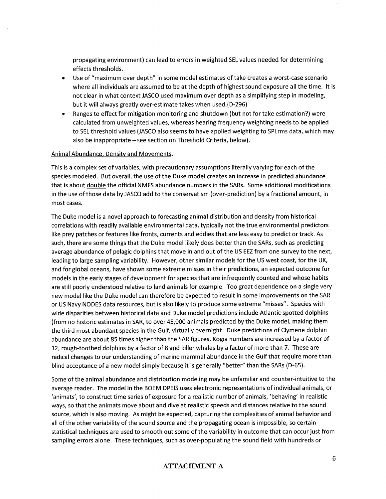propagating environment) can lead to errors in weighted SEL values needed for determining effects thresholds.

- Use of "maximum over depth" in some model estimates of take creates a worst-case scenario  $\bullet$ where all individuals are assumed to be at the depth of highest sound exposure all the time. It is not clear in what context JASCO used maximum over depth as a simplifying step in modeling, but it will always greatly over-estimate takes when used. (D-296)
- Ranges to effect for mitigation monitoring and shutdown (but not for take estimation?) were calculated from unweighted values, whereas hearing frequency weighting needs to be applied to SEL threshold values (JASCO also seems to have applied weighting to SPLrms data, which may also be inappropriate – see section on Threshold Criteria, below).

#### Animal Abundance, Density and Movements.

This is a complex set of variables, with precautionary assumptions literally varying for each of the species modeled. But overall, the use of the Duke model creates an increase in predicted abundance that is about double the official NMFS abundance numbers in the SARs. Some additional modifications in the use of those data by JASCO add to the conservatism (over-prediction) by a fractional amount, in most cases.

The Duke model is a novel approach to forecasting animal distribution and density from historical correlations with readily available environmental data, typically not the true environmental predictors like prey patches or features like fronts, currents and eddies that are less easy to predict or track. As such, there are some things that the Duke model likely does better than the SARs, such as predicting average abundance of pelagic dolphins that move in and out of the US EEZ from one survey to the next, leading to large sampling variability. However, other similar models for the US west coast, for the UK, and for global oceans, have shown some extreme misses in their predictions, an expected outcome for models in the early stages of development for species that are infrequently counted and whose habits are still poorly understood relative to land animals for example. Too great dependence on a single very new model like the Duke model can therefore be expected to result in some improvements on the SAR or US Navy NODES data resources, but is also likely to produce some extreme "misses". Species with wide disparities between historical data and Duke model predictions include Atlantic spotted dolphins (from no historic estimates in SAR, to over 45,000 animals predicted by the Duke model, making them the third most abundant species in the Gulf, virtually overnight. Duke predictions of Clymene dolphin abundance are about 85 times higher than the SAR figures, Kogia numbers are increased by a factor of 12, rough-toothed dolphins by a factor of 8 and killer whales by a factor of more than 7. These are radical changes to our understanding of marine mammal abundance in the Gulf that require more than blind acceptance of a new model simply because it is generally "better" than the SARs (D-65).

Some of the animal abundance and distribution modeling may be unfamiliar and counter-intuitive to the average reader. The model in the BOEM DPEIS uses electronic representations of individual animals, or 'animats', to construct time series of exposure for a realistic number of animals, 'behaving' in realistic ways, so that the animats move about and dive at realistic speeds and distances relative to the sound source, which is also moving. As might be expected, capturing the complexities of animal behavior and all of the other variability of the sound source and the propagating ocean is impossible, so certain statistical techniques are used to smooth out some of the variability in outcome that can occur just from sampling errors alone. These techniques, such as over-populating the sound field with hundreds or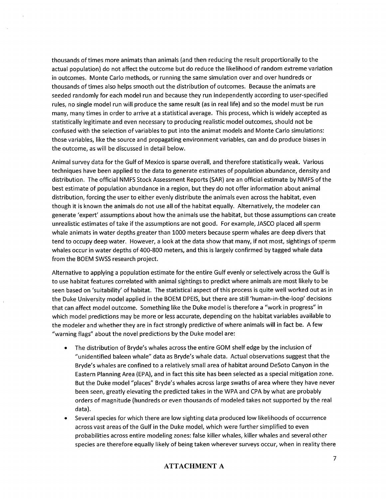thousands of times more animats than animals (and then reducing the result proportionally to the actual population) do not affect the outcome but do reduce the likelihood of random extreme variation in outcomes. Monte Carlo methods, or running the same simulation over and over hundreds or thousands of times also helps smooth out the distribution of outcomes. Because the animats are seeded randomly for each model run and because they run independently according to user-specified rules, no single model run will produce the same result (as in real life) and so the model must be run many, many times in order to arrive at a statistical average. This process, which is widely accepted as statistically legitimate and even necessary to producing realistic model outcomes, should not be confused with the selection of variables to put into the animat models and Monte Carlo simulations: those variables, like the source and propagating environment variables, can and do produce biases in the outcome, as will be discussed in detail below.

Animal survey data for the Gulf of Mexico is sparse overall, and therefore statistically weak. Various techniques have been applied to the data to generate estimates of population abundance, density and distribution. The official NMFS Stock Assessment Reports (SAR) are an official estimate by NMFS of the best estimate of population abundance in a region, but they do not offer information about animal distribution, forcing the user to either evenly distribute the animals even across the habitat, even though it is known the animals do not use all of the habitat equally. Alternatively, the modeler can generate 'expert' assumptions about how the animals use the habitat, but those assumptions can create unrealistic estimates of take if the assumptions are not good. For example, JASCO placed all sperm whale animats in water depths greater than 1000 meters because sperm whales are deep divers that tend to occupy deep water. However, a look at the data show that many, if not most, sightings of sperm whales occur in water depths of 400-800 meters, and this is largely confirmed by tagged whale data from the BOEM SWSS research project.

Alternative to applying a population estimate for the entire Gulf evenly or selectively across the Gulf is to use habitat features correlated with animal sightings to predict where animals are most likely to be seen based on 'suitability' of habitat. The statistical aspect of this process is quite well worked out as in the Duke University model applied in the BOEM DPEIS, but there are still 'human-in-the-loop' decisions that can affect model outcome. Something like the Duke model is therefore a "work in progress" in which model predictions may be more or less accurate, depending on the habitat variables available to the modeler and whether they are in fact strongly predictive of where animals will in fact be. A few "warning flags" about the novel predictions by the Duke model are:

- The distribution of Bryde's whales across the entire GOM shelf edge by the inclusion of "unidentified baleen whale" data as Bryde's whale data. Actual observations suggest that the Bryde's whales are confined to a relatively small area of habitat around DeSoto Canyon in the Eastern Planning Area (EPA), and in fact this site has been selected as a special mitigation zone. But the Duke model "places" Bryde's whales across large swaths of area where they have never been seen, greatly elevating the predicted takes in the WPA and CPA by what are probably orders of magnitude (hundreds or even thousands of modeled takes not supported by the real data).
- Several species for which there are low sighting data produced low likelihoods of occurrence across vast areas of the Gulf in the Duke model, which were further simplified to even probabilities across entire modeling zones: false killer whales, killer whales and several other species are therefore equally likely of being taken wherever surveys occur, when in reality there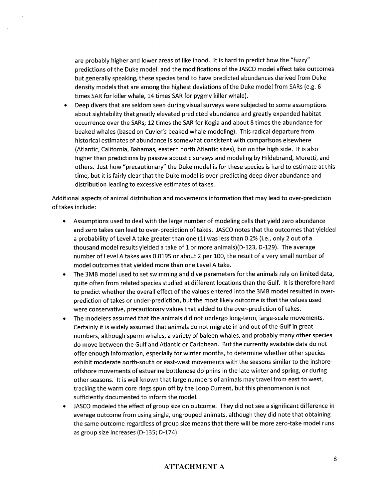are probably higher and lower areas of likelihood. It is hard to predict how the "fuzzy" predictions of the Duke model, and the modifications of the JASCO model affect take outcomes but generally speaking, these species tend to have predicted abundances derived from Duke density models that are among the highest deviations of the Duke model from SARs (e.g. 6 times SAR for killer whale, 14 times SAR for pygmy killer whale).

Deep divers that are seldom seen during visual surveys were subjected to some assumptions  $\bullet$ about sightability that greatly elevated predicted abundance and greatly expanded habitat occurrence over the SARs; 12 times the SAR for Kogia and about 8 times the abundance for beaked whales (based on Cuvier's beaked whale modeling). This radical departure from historical estimates of abundance is somewhat consistent with comparisons elsewhere (Atlantic, California, Bahamas, eastern north Atlantic sites), but on the high side. It is also higher than predictions by passive acoustic surveys and modeling by Hildebrand, Moretti, and others. Just how "precautionary" the Duke model is for these species is hard to estimate at this time, but it is fairly clear that the Duke model is over-predicting deep diver abundance and distribution leading to excessive estimates of takes.

Additional aspects of animal distribution and movements information that may lead to over-prediction of takes include:

- $\bullet$ Assumptions used to deal with the large number of modeling cells that yield zero abundance and zero takes can lead to over-prediction of takes. JASCO notes that the outcomes that yielded a probability of Level A take greater than one (1) was less than 0.2% (i.e., only 2 out of a thousand model results yielded a take of 1 or more animals)(D-123, D-129). The average number of Level A takes was 0.0195 or about 2 per 100, the result of a very small number of model outcomes that yielded more than one Level A take.
- The 3MB model used to set swimming and dive parameters for the animals rely on limited data, quite often from related species studied at different locations than the Gulf. It is therefore hard to predict whether the overall effect of the values entered into the 3MB model resulted in overprediction of takes or under-prediction, but the most likely outcome is that the values used were conservative, precautionary values that added to the over-prediction of takes.
- The modelers assumed that the animals did not undergo long-term, large-scale movements.  $\bullet$ Certainly it is widely assumed that animals do not migrate in and out of the Gulf in great numbers, although sperm whales, a variety of baleen whales, and probably many other species do move between the Gulf and Atlantic or Caribbean. But the currently available data do not offer enough information, especially for winter months, to determine whether other species exhibit moderate north-south or east-west movements with the seasons similar to the inshoreoffshore movements of estuarine bottlenose dolphins in the late winter and spring, or during other seasons. It is well known that large numbers of animals may travel from east to west, tracking the warm core rings spun off by the Loop Current, but this phenomenon is not sufficiently documented to inform the model.
- JASCO modeled the effect of group size on outcome. They did not see a significant difference in average outcome from using single, ungrouped animats, although they did note that obtaining the same outcome regardless of group size means that there will be more zero-take model runs as group size increases (D-135; D-174).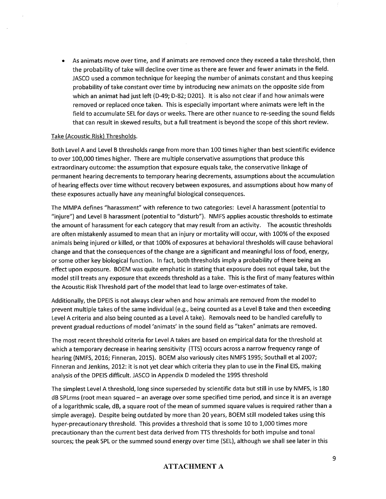As animats move over time, and if animats are removed once they exceed a take threshold, then the probability of take will decline over time as there are fewer and fewer animats in the field. JASCO used a common technique for keeping the number of animats constant and thus keeping probability of take constant over time by introducing new animats on the opposite side from which an animat had just left (D-49; D-82; D201). It is also not clear if and how animals were removed or replaced once taken. This is especially important where animats were left in the field to accumulate SEL for days or weeks. There are other nuance to re-seeding the sound fields that can result in skewed results, but a full treatment is beyond the scope of this short review.

#### Take (Acoustic Risk) Thresholds.

Both Level A and Level B thresholds range from more than 100 times higher than best scientific evidence to over 100,000 times higher. There are multiple conservative assumptions that produce this extraordinary outcome: the assumption that exposure equals take, the conservative linkage of permanent hearing decrements to temporary hearing decrements, assumptions about the accumulation of hearing effects over time without recovery between exposures, and assumptions about how many of these exposures actually have any meaningful biological consequences.

The MMPA defines "harassment" with reference to two categories: Level A harassment (potential to injure") and Level B harassment (potential to "disturb"). NMFS applies acoustic thresholds to estimate" the amount of harassment for each category that may result from an activity. The acoustic thresholds are often mistakenly assumed to mean that an injury or mortality will occur, with 100% of the exposed animals being injured or killed, or that 100% of exposures at behavioral thresholds will cause behavioral change and that the consequences of the change are a significant and meaningful loss of food, energy, or some other key biological function. In fact, both thresholds imply a probability of there being an effect upon exposure. BOEM was quite emphatic in stating that exposure does not equal take, but the model still treats any exposure that exceeds threshold as a take. This is the first of many features within the Acoustic Risk Threshold part of the model that lead to large over-estimates of take.

Additionally, the DPEIS is not always clear when and how animals are removed from the model to prevent multiple takes of the same individual (e.g., being counted as a Level B take and then exceeding Level A criteria and also being counted as a Level A take). Removals need to be handled carefully to prevent gradual reductions of model 'animats' in the sound field as "taken" animats are removed.

The most recent threshold criteria for Level A takes are based on empirical data for the threshold at which a temporary decrease in hearing sensitivity (TTS) occurs across a narrow frequency range of hearing (NMFS, 2016; Finneran, 2015). BOEM also variously cites NMFS 1995; Southall et al 2007; Finneran and Jenkins, 2012: it is not yet clear which criteria they plan to use in the Final EIS, making analysis of the DPEIS difficult. JASCO in Appendix D modeled the 1995 threshold

The simplest Level A threshold, long since superseded by scientific data but still in use by NMFS, is 180 dB SPLrms (root mean squared – an average over some specified time period, and since it is an average of a logarithmic scale, dB, a square root of the mean of summed square values is required rather than a simple average). Despite being outdated by more than 20 years, BOEM still modeled takes using this hyper-precautionary threshold. This provides a threshold that is some 10 to 1,000 times more precautionary than the current best data derived from TTS thresholds for both impulse and tonal sources; the peak SPL or the summed sound energy over time (SEL), although we shall see later in this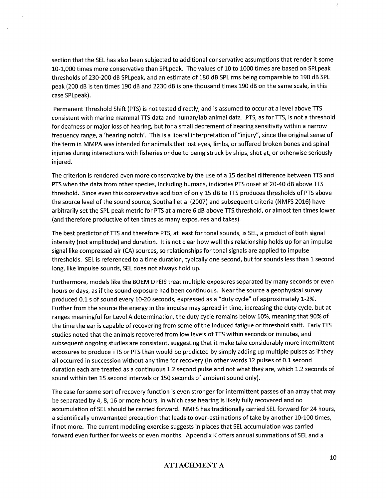section that the SEL has also been subjected to additional conservative assumptions that render it some 10-1,000 times more conservative than SPLpeak. The values of 10 to 1000 times are based on SPLpeak thresholds of 230-200 dB SPLpeak, and an estimate of 180 dB SPL rms being comparable to 190 dB SPL peak (200 dB is ten times 190 dB and 2230 dB is one thousand times 190 dB on the same scale, in this case SPLpeak).

Permanent Threshold Shift (PTS) is not tested directly, and is assumed to occur at a level above TTS consistent with marine mammal TTS data and human/lab animal data. PTS, as for TTS, is not a threshold for deafness or major loss of hearing, but for a small decrement of hearing sensitivity within a narrow frequency range, a 'hearing notch'. This is a liberal interpretation of "injury", since the original sense of the term in MMPA was intended for animals that lost eyes, limbs, or suffered broken bones and spinal injuries during interactions with fisheries or due to being struck by ships, shot at, or otherwise seriously injured.

The criterion is rendered even more conservative by the use of a 15 decibel difference between TTS and PTS when the data from other species, including humans, indicates PTS onset at 20-40 dB above TTS threshold. Since even this conservative addition of only 15 dB to TTS produces thresholds of PTS above the source level of the sound source, Southall et al (2007) and subsequent criteria (NMFS 2016) have arbitrarily set the SPL peak metric for PTS at a mere 6 dB above TTS threshold, or almost ten times lower (and therefore productive of ten times as many exposures and takes).

The best predictor of TTS and therefore PTS, at least for tonal sounds, is SEL, a product of both signal intensity (not amplitude) and duration. It is not clear how well this relationship holds up for an impulse signal like compressed air (CA) sources, so relationships for tonal signals are applied to impulse thresholds. SEL is referenced to a time duration, typically one second, but for sounds less than 1 second long, like impulse sounds, SEL does not always hold up.

Furthermore, models like the BOEM DPEIS treat multiple exposures separated by many seconds or even hours or days, as if the sound exposure had been continuous. Near the source a geophysical survey produced 0.1 s of sound every 10-20 seconds, expressed as a "duty cycle" of approximately 1-2%. Further from the source the energy in the impulse may spread in time, increasing the duty cycle, but at ranges meaningful for Level A determination, the duty cycle remains below 10%, meaning that 90% of the time the ear is capable of recovering from some of the induced fatigue or threshold shift. Early TTS studies noted that the animals recovered from low levels of TTS within seconds or minutes, and subsequent ongoing studies are consistent, suggesting that it make take considerably more intermittent exposures to produce TTS or PTS than would be predicted by simply adding up multiple pulses as if they all occurred in succession without any time for recovery (In other words 12 pulses of 0.1 second duration each are treated as a continuous 1.2 second pulse and not what they are, which 1.2 seconds of sound within ten 15 second intervals or 150 seconds of ambient sound only).

The case for some sort of recovery function is even stronger for intermittent passes of an array that may be separated by 4, 8, 16 or more hours, in which case hearing is likely fully recovered and no accumulation of SEL should be carried forward. NMFS has traditionally carried SEL forward for 24 hours, a scientifically unwarranted precaution that leads to over-estimations of take by another 10-100 times, if not more. The current modeling exercise suggests in places that SEL accumulation was carried forward even further for weeks or even months. Appendix K offers annual summations of SEL and a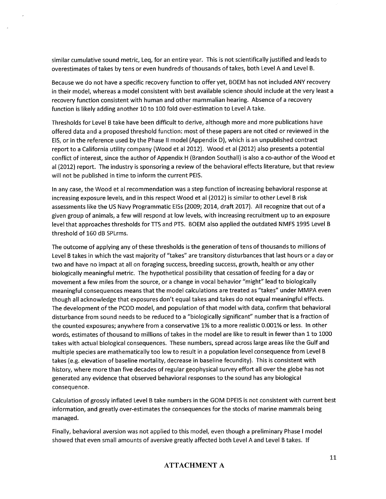similar cumulative sound metric, Leq, for an entire year. This is not scientifically justified and leads to overestimates of takes by tens or even hundreds of thousands of takes, both Level A and Level B.

Because we do not have a specific recovery function to offer yet, BOEM has not included ANY recovery in their model, whereas a model consistent with best available science should include at the very least a recovery function consistent with human and other mammalian hearing. Absence of a recovery function is likely adding another 10 to 100 fold over-estimation to Level A take.

Thresholds for Level B take have been difficult to derive, although more and more publications have offered data and a proposed threshold function: most of these papers are not cited or reviewed in the EIS, or in the reference used by the Phase II model (Appendix D), which is an unpublished contract report to a California utility company (Wood et al 2012). Wood et al (2012) also presents a potential conflict of interest, since the author of Appendix H (Brandon Southall) is also a co-author of the Wood et al (2012) report. The industry is sponsoring a review of the behavioral effects literature, but that review will not be published in time to inform the current PEIS.

In any case, the Wood et al recommendation was a step function of increasing behavioral response at increasing exposure levels, and in this respect Wood et al (2012) is similar to other Level B risk assessments like the US Navy Programmatic EISs (2009; 2014, draft 2017). All recognize that out of a given group of animals, a few will respond at low levels, with increasing recruitment up to an exposure level that approaches thresholds for TTS and PTS. BOEM also applied the outdated NMFS 1995 Level B threshold of 160 dB SPLrms.

The outcome of applying any of these thresholds is the generation of tens of thousands to millions of Level B takes in which the vast majority of "takes" are transitory disturbances that last hours or a day or two and have no impact at all on foraging success, breeding success, growth, health or any other biologically meaningful metric. The hypothetical possibility that cessation of feeding for a day or movement a few miles from the source, or a change in vocal behavior "might" lead to biologically meaningful consequences means that the model calculations are treated as "takes" under MMPA even though all acknowledge that exposures don't equal takes and takes do not equal meaningful effects. The development of the PCOD model, and population of that model with data, confirm that behavioral disturbance from sound needs to be reduced to a "biologically significant" number that is a fraction of the counted exposures; anywhere from a conservative 1% to a more realistic 0.001% or less. In other words, estimates of thousand to millions of takes in the model are like to result in fewer than 1 to 1000 takes with actual biological consequences. These numbers, spread across large areas like the Gulf and multiple species are mathematically too low to result in a population level consequence from Level B takes (e.g. elevation of baseline mortality, decrease in baseline fecundity). This is consistent with history, where more than five decades of regular geophysical survey effort all over the globe has not generated any evidence that observed behavioral responses to the sound has any biological consequence.

Calculation of grossly inflated Level B take numbers in the GOM DPEIS is not consistent with current best information, and greatly over-estimates the consequences for the stocks of marine mammals being managed.

Finally, behavioral aversion was not applied to this model, even though a preliminary Phase I model showed that even small amounts of aversive greatly affected both Level A and Level B takes. If